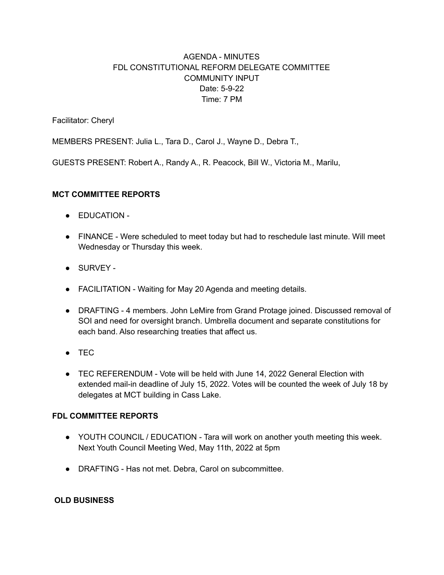# AGENDA - MINUTES FDL CONSTITUTIONAL REFORM DELEGATE COMMITTEE COMMUNITY INPUT Date: 5-9-22 Time: 7 PM

Facilitator: Cheryl

MEMBERS PRESENT: Julia L., Tara D., Carol J., Wayne D., Debra T.,

GUESTS PRESENT: Robert A., Randy A., R. Peacock, Bill W., Victoria M., Marilu,

### **MCT COMMITTEE REPORTS**

- EDUCATION -
- FINANCE Were scheduled to meet today but had to reschedule last minute. Will meet Wednesday or Thursday this week.
- SURVEY -
- FACILITATION Waiting for May 20 Agenda and meeting details.
- DRAFTING 4 members. John LeMire from Grand Protage joined. Discussed removal of SOI and need for oversight branch. Umbrella document and separate constitutions for each band. Also researching treaties that affect us.
- TEC
- TEC REFERENDUM Vote will be held with June 14, 2022 General Election with extended mail-in deadline of July 15, 2022. Votes will be counted the week of July 18 by delegates at MCT building in Cass Lake.

## **FDL COMMITTEE REPORTS**

- YOUTH COUNCIL / EDUCATION Tara will work on another youth meeting this week. Next Youth Council Meeting Wed, May 11th, 2022 at 5pm
- DRAFTING Has not met. Debra, Carol on subcommittee.

### **OLD BUSINESS**